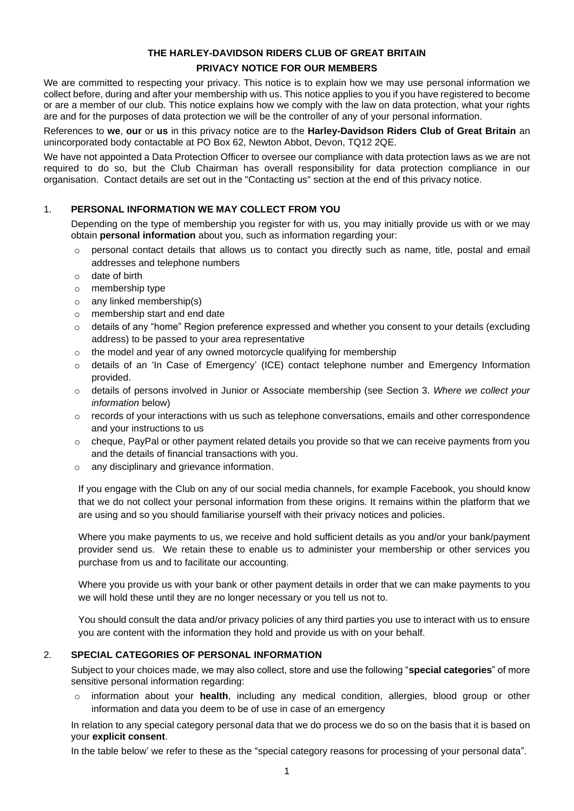# **THE HARLEY-DAVIDSON RIDERS CLUB OF GREAT BRITAIN PRIVACY NOTICE FOR OUR MEMBERS**

We are committed to respecting your privacy. This notice is to explain how we may use personal information we collect before, during and after your membership with us. This notice applies to you if you have registered to become or are a member of our club. This notice explains how we comply with the law on data protection, what your rights are and for the purposes of data protection we will be the controller of any of your personal information.

References to **we**, **our** or **us** in this privacy notice are to the **Harley-Davidson Riders Club of Great Britain** an unincorporated body contactable at PO Box 62, Newton Abbot, Devon, TQ12 2QE.

We have not appointed a Data Protection Officer to oversee our compliance with data protection laws as we are not required to do so, but the Club Chairman has overall responsibility for data protection compliance in our organisation. Contact details are set out in the "Contacting us" section at the end of this privacy notice.

# 1. **PERSONAL INFORMATION WE MAY COLLECT FROM YOU**

Depending on the type of membership you register for with us, you may initially provide us with or we may obtain **personal information** about you, such as information regarding your:

- $\circ$  personal contact details that allows us to contact you directly such as name, title, postal and email addresses and telephone numbers
- o date of birth
- o membership type
- o any linked membership(s)
- o membership start and end date
- $\circ$  details of any "home" Region preference expressed and whether you consent to your details (excluding address) to be passed to your area representative
- o the model and year of any owned motorcycle qualifying for membership
- o details of an 'In Case of Emergency' (ICE) contact telephone number and Emergency Information provided.
- o details of persons involved in Junior or Associate membership (see Section 3. *Where we collect your information* below)
- $\circ$  records of your interactions with us such as telephone conversations, emails and other correspondence and your instructions to us
- $\circ$  cheque, PayPal or other payment related details you provide so that we can receive payments from you and the details of financial transactions with you.
- o any disciplinary and grievance information.

If you engage with the Club on any of our social media channels, for example Facebook, you should know that we do not collect your personal information from these origins. It remains within the platform that we are using and so you should familiarise yourself with their privacy notices and policies.

Where you make payments to us, we receive and hold sufficient details as you and/or your bank/payment provider send us. We retain these to enable us to administer your membership or other services you purchase from us and to facilitate our accounting.

Where you provide us with your bank or other payment details in order that we can make payments to you we will hold these until they are no longer necessary or you tell us not to.

You should consult the data and/or privacy policies of any third parties you use to interact with us to ensure you are content with the information they hold and provide us with on your behalf.

# 2. **SPECIAL CATEGORIES OF PERSONAL INFORMATION**

Subject to your choices made, we may also collect, store and use the following "**special categories**" of more sensitive personal information regarding:

o information about your **health**, including any medical condition, allergies, blood group or other information and data you deem to be of use in case of an emergency

In relation to any special category personal data that we do process we do so on the basis that it is based on your **explicit consent**.

In the table below' we refer to these as the "special category reasons for processing of your personal data".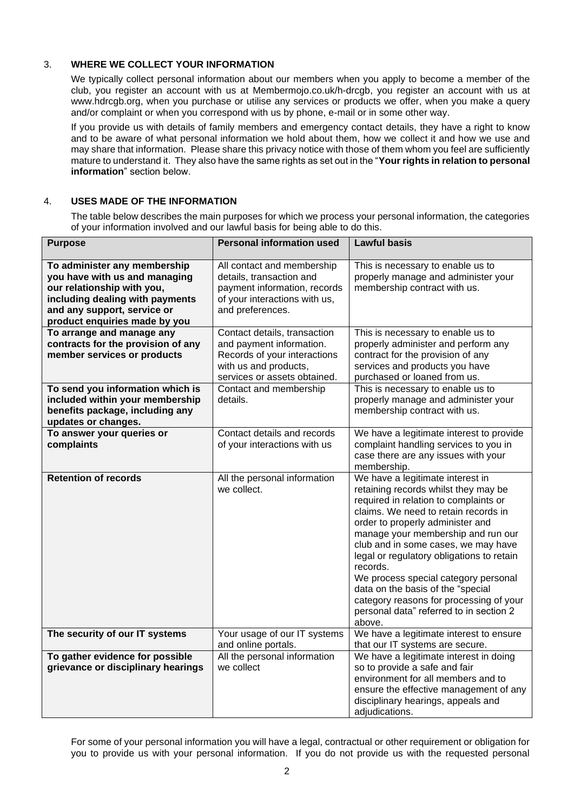# 3. **WHERE WE COLLECT YOUR INFORMATION**

We typically collect personal information about our members when you apply to become a member of the club, you register an account with us at Membermojo.co.uk/h-drcgb, you register an account with us at www.hdrcgb.org, when you purchase or utilise any services or products we offer, when you make a query and/or complaint or when you correspond with us by phone, e-mail or in some other way.

If you provide us with details of family members and emergency contact details, they have a right to know and to be aware of what personal information we hold about them, how we collect it and how we use and may share that information. Please share this privacy notice with those of them whom you feel are sufficiently mature to understand it. They also have the same rights as set out in the "**Your rights in relation to personal information**" section below.

# 4. **USES MADE OF THE INFORMATION**

The table below describes the main purposes for which we process your personal information, the categories of your information involved and our lawful basis for being able to do this.

| <b>Purpose</b>                                                      | <b>Personal information used</b>                       | <b>Lawful basis</b>                                                                                                                                                                                                                 |
|---------------------------------------------------------------------|--------------------------------------------------------|-------------------------------------------------------------------------------------------------------------------------------------------------------------------------------------------------------------------------------------|
| To administer any membership<br>you have with us and managing       | All contact and membership<br>details, transaction and | This is necessary to enable us to<br>properly manage and administer your                                                                                                                                                            |
| our relationship with you,                                          | payment information, records                           | membership contract with us.                                                                                                                                                                                                        |
| including dealing with payments                                     | of your interactions with us,                          |                                                                                                                                                                                                                                     |
| and any support, service or                                         | and preferences.                                       |                                                                                                                                                                                                                                     |
| product enquiries made by you                                       |                                                        |                                                                                                                                                                                                                                     |
| To arrange and manage any                                           | Contact details, transaction                           | This is necessary to enable us to                                                                                                                                                                                                   |
| contracts for the provision of any                                  | and payment information.                               | properly administer and perform any                                                                                                                                                                                                 |
| member services or products                                         | Records of your interactions                           | contract for the provision of any                                                                                                                                                                                                   |
|                                                                     | with us and products,                                  | services and products you have                                                                                                                                                                                                      |
|                                                                     | services or assets obtained.                           | purchased or loaned from us.                                                                                                                                                                                                        |
| To send you information which is<br>included within your membership | Contact and membership<br>details.                     | This is necessary to enable us to                                                                                                                                                                                                   |
| benefits package, including any                                     |                                                        | properly manage and administer your<br>membership contract with us.                                                                                                                                                                 |
| updates or changes.                                                 |                                                        |                                                                                                                                                                                                                                     |
| To answer your queries or                                           | Contact details and records                            | We have a legitimate interest to provide                                                                                                                                                                                            |
| complaints                                                          | of your interactions with us                           | complaint handling services to you in                                                                                                                                                                                               |
|                                                                     |                                                        | case there are any issues with your                                                                                                                                                                                                 |
|                                                                     |                                                        | membership.                                                                                                                                                                                                                         |
| <b>Retention of records</b>                                         | All the personal information<br>we collect.            | We have a legitimate interest in<br>retaining records whilst they may be<br>required in relation to complaints or<br>claims. We need to retain records in<br>order to properly administer and<br>manage your membership and run our |
|                                                                     |                                                        | club and in some cases, we may have<br>legal or regulatory obligations to retain<br>records.                                                                                                                                        |
|                                                                     |                                                        | We process special category personal<br>data on the basis of the "special<br>category reasons for processing of your<br>personal data" referred to in section 2<br>above.                                                           |
| The security of our IT systems                                      | Your usage of our IT systems                           | We have a legitimate interest to ensure                                                                                                                                                                                             |
|                                                                     | and online portals.                                    | that our IT systems are secure.                                                                                                                                                                                                     |
| To gather evidence for possible                                     | All the personal information                           | We have a legitimate interest in doing                                                                                                                                                                                              |
| grievance or disciplinary hearings                                  | we collect                                             | so to provide a safe and fair                                                                                                                                                                                                       |
|                                                                     |                                                        | environment for all members and to                                                                                                                                                                                                  |
|                                                                     |                                                        | ensure the effective management of any                                                                                                                                                                                              |
|                                                                     |                                                        | disciplinary hearings, appeals and<br>adjudications.                                                                                                                                                                                |

For some of your personal information you will have a legal, contractual or other requirement or obligation for you to provide us with your personal information. If you do not provide us with the requested personal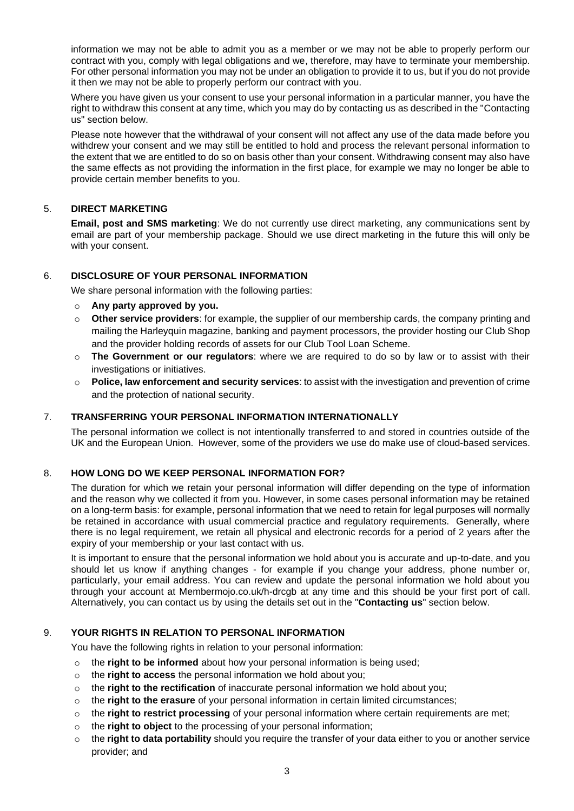information we may not be able to admit you as a member or we may not be able to properly perform our contract with you, comply with legal obligations and we, therefore, may have to terminate your membership. For other personal information you may not be under an obligation to provide it to us, but if you do not provide it then we may not be able to properly perform our contract with you.

Where you have given us your consent to use your personal information in a particular manner, you have the right to withdraw this consent at any time, which you may do by contacting us as described in the "Contacting us" section below.

Please note however that the withdrawal of your consent will not affect any use of the data made before you withdrew your consent and we may still be entitled to hold and process the relevant personal information to the extent that we are entitled to do so on basis other than your consent. Withdrawing consent may also have the same effects as not providing the information in the first place, for example we may no longer be able to provide certain member benefits to you.

## 5. **DIRECT MARKETING**

**Email, post and SMS marketing**: We do not currently use direct marketing, any communications sent by email are part of your membership package. Should we use direct marketing in the future this will only be with your consent.

### 6. **DISCLOSURE OF YOUR PERSONAL INFORMATION**

We share personal information with the following parties:

- o **Any party approved by you.**
- o **Other service providers**: for example, the supplier of our membership cards, the company printing and mailing the Harleyquin magazine, banking and payment processors, the provider hosting our Club Shop and the provider holding records of assets for our Club Tool Loan Scheme.
- o **The Government or our regulators**: where we are required to do so by law or to assist with their investigations or initiatives.
- o **Police, law enforcement and security services**: to assist with the investigation and prevention of crime and the protection of national security.

## 7. **TRANSFERRING YOUR PERSONAL INFORMATION INTERNATIONALLY**

The personal information we collect is not intentionally transferred to and stored in countries outside of the UK and the European Union. However, some of the providers we use do make use of cloud-based services.

#### 8. **HOW LONG DO WE KEEP PERSONAL INFORMATION FOR?**

The duration for which we retain your personal information will differ depending on the type of information and the reason why we collected it from you. However, in some cases personal information may be retained on a long-term basis: for example, personal information that we need to retain for legal purposes will normally be retained in accordance with usual commercial practice and regulatory requirements. Generally, where there is no legal requirement, we retain all physical and electronic records for a period of 2 years after the expiry of your membership or your last contact with us.

It is important to ensure that the personal information we hold about you is accurate and up-to-date, and you should let us know if anything changes - for example if you change your address, phone number or, particularly, your email address. You can review and update the personal information we hold about you through your account at Membermojo.co.uk/h-drcgb at any time and this should be your first port of call. Alternatively, you can contact us by using the details set out in the "**Contacting us**" section below.

# 9. **YOUR RIGHTS IN RELATION TO PERSONAL INFORMATION**

You have the following rights in relation to your personal information:

- o the **right to be informed** about how your personal information is being used;
- o the **right to access** the personal information we hold about you;
- o the **right to the rectification** of inaccurate personal information we hold about you;
- o the **right to the erasure** of your personal information in certain limited circumstances;
- o the **right to restrict processing** of your personal information where certain requirements are met;
- o the **right to object** to the processing of your personal information;
- o the **right to data portability** should you require the transfer of your data either to you or another service provider; and